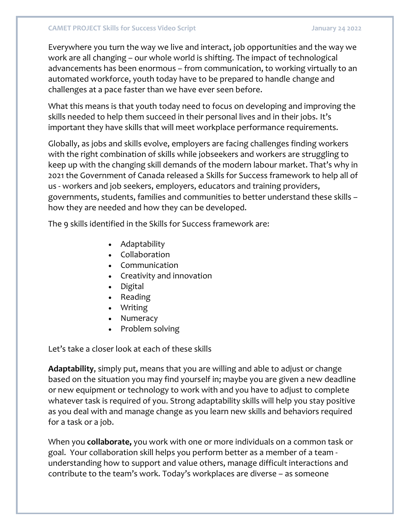## **CAMET PROJECT Skills for Success Video Script January 24 2022**

Everywhere you turn the way we live and interact, job opportunities and the way we work are all changing – our whole world is shifting. The impact of technological advancements has been enormous – from communication, to working virtually to an automated workforce, youth today have to be prepared to handle change and challenges at a pace faster than we have ever seen before.

What this means is that youth today need to focus on developing and improving the skills needed to help them succeed in their personal lives and in their jobs. It's important they have skills that will meet workplace performance requirements.

Globally, as jobs and skills evolve, employers are facing challenges finding workers with the right combination of skills while jobseekers and workers are struggling to keep up with the changing skill demands of the modern labour market. That's why in 2021 the Government of Canada released a Skills for Success framework to help all of us - workers and job seekers, employers, educators and training providers, governments, students, families and communities to better understand these skills – how they are needed and how they can be developed.

The 9 skills identified in the Skills for Success framework are:

- Adaptability
- Collaboration
- Communication
- Creativity and innovation
- Digital
- Reading
- Writing
- Numeracy
- Problem solving

Let's take a closer look at each of these skills

**Adaptability**, simply put, means that you are willing and able to adjust or change based on the situation you may find yourself in; maybe you are given a new deadline or new equipment or technology to work with and you have to adjust to complete whatever task is required of you. Strong adaptability skills will help you stay positive as you deal with and manage change as you learn new skills and behaviors required for a task or a job.

When you **collaborate,** you work with one or more individuals on a common task or goal. Your collaboration skill helps you perform better as a member of a team understanding how to support and value others, manage difficult interactions and contribute to the team's work. Today's workplaces are diverse – as someone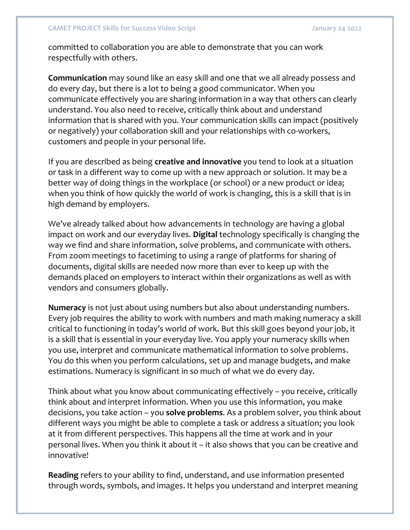committed to collaboration you are able to demonstrate that you can work respectfully with others.

**Communication** may sound like an easy skill and one that we all already possess and do every day, but there is a lot to being a good communicator. When you communicate effectively you are sharing information in a way that others can clearly understand. You also need to receive, critically think about and understand information that is shared with you. Your communication skills can impact (positively or negatively) your collaboration skill and your relationships with co-workers, customers and people in your personal life.

If you are described as being **creative and innovative** you tend to look at a situation or task in a different way to come up with a new approach or solution. It may be a better way of doing things in the workplace (or school) or a new product or idea; when you think of how quickly the world of work is changing, this is a skill that is in high demand by employers.

We've already talked about how advancements in technology are having a global impact on work and our everyday lives. **Digital** technology specifically is changing the way we find and share information, solve problems, and communicate with others. From zoom meetings to facetiming to using a range of platforms for sharing of documents, digital skills are needed now more than ever to keep up with the demands placed on employers to interact within their organizations as well as with vendors and consumers globally.

**Numeracy** is not just about using numbers but also about understanding numbers. Every job requires the ability to work with numbers and math making numeracy a skill critical to functioning in today's world of work. But this skill goes beyond your job, it is a skill that is essential in your everyday live. You apply your numeracy skills when you use, interpret and communicate mathematical information to solve problems. You do this when you perform calculations, set up and manage budgets, and make estimations. Numeracy is significant in so much of what we do every day.

Think about what you know about communicating effectively – you receive, critically think about and interpret information. When you use this information, you make decisions, you take action – you **solve problems**. As a problem solver, you think about different ways you might be able to complete a task or address a situation; you look at it from different perspectives. This happens all the time at work and in your personal lives. When you think it about it – it also shows that you can be creative and innovative!

**Reading** refers to your ability to find, understand, and use information presented through words, symbols, and images. It helps you understand and interpret meaning